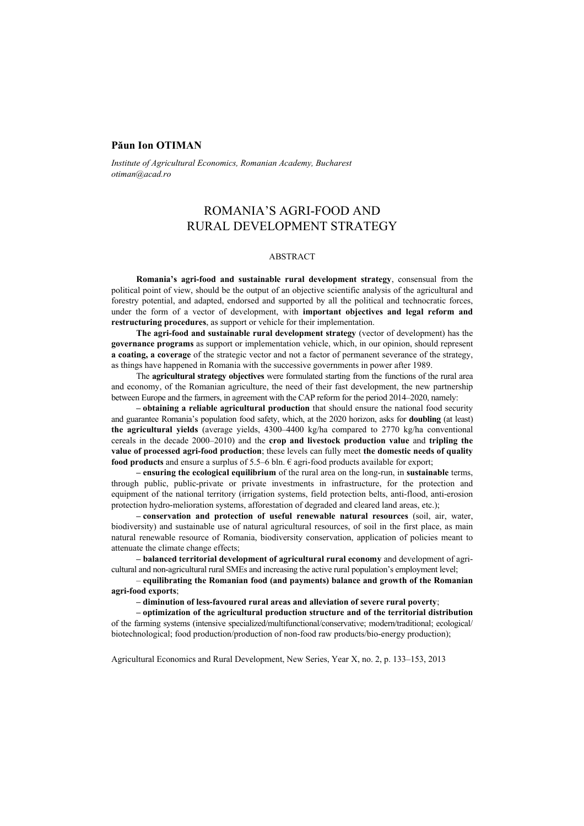## **Păun Ion OTIMAN**

*Institute of Agricultural Economics, Romanian Academy, Bucharest otiman@acad.ro* 

# ROMANIA'S AGRI-FOOD AND RURAL DEVELOPMENT STRATEGY

#### ABSTRACT

**Romania's agri-food and sustainable rural development strategy**, consensual from the political point of view, should be the output of an objective scientific analysis of the agricultural and forestry potential, and adapted, endorsed and supported by all the political and technocratic forces, under the form of a vector of development, with **important objectives and legal reform and restructuring procedures**, as support or vehicle for their implementation.

**The agri-food and sustainable rural development strategy** (vector of development) has the **governance programs** as support or implementation vehicle, which, in our opinion, should represent **a coating, a coverage** of the strategic vector and not a factor of permanent severance of the strategy, as things have happened in Romania with the successive governments in power after 1989.

The **agricultural strategy objectives** were formulated starting from the functions of the rural area and economy, of the Romanian agriculture, the need of their fast development, the new partnership between Europe and the farmers, in agreement with the CAP reform for the period 2014–2020, namely:

**– obtaining a reliable agricultural production** that should ensure the national food security and guarantee Romania's population food safety, which, at the 2020 horizon, asks for **doubling** (at least) **the agricultural yields** (average yields, 4300–4400 kg/ha compared to 2770 kg/ha conventional cereals in the decade 2000–2010) and the **crop and livestock production value** and **tripling the value of processed agri-food production**; these levels can fully meet **the domestic needs of quality food products** and ensure a surplus of 5.5–6 bln.  $\epsilon$  agri-food products available for export;

**– ensuring the ecological equilibrium** of the rural area on the long-run, in **sustainable** terms, through public, public-private or private investments in infrastructure, for the protection and equipment of the national territory (irrigation systems, field protection belts, anti-flood, anti-erosion protection hydro-melioration systems, afforestation of degraded and cleared land areas, etc.);

**– conservation and protection of useful renewable natural resources** (soil, air, water, biodiversity) and sustainable use of natural agricultural resources, of soil in the first place, as main natural renewable resource of Romania, biodiversity conservation, application of policies meant to attenuate the climate change effects;

**– balanced territorial development of agricultural rural economy** and development of agricultural and non-agricultural rural SMEs and increasing the active rural population's employment level;

– **equilibrating the Romanian food (and payments) balance and growth of the Romanian agri-food exports**;

**– diminution of less-favoured rural areas and alleviation of severe rural poverty**;

**– optimization of the agricultural production structure and of the territorial distribution**  of the farming systems (intensive specialized/multifunctional/conservative; modern/traditional; ecological/ biotechnological; food production/production of non-food raw products/bio-energy production);

Agricultural Economics and Rural Development, New Series, Year X, no. 2, p. 133–153, 2013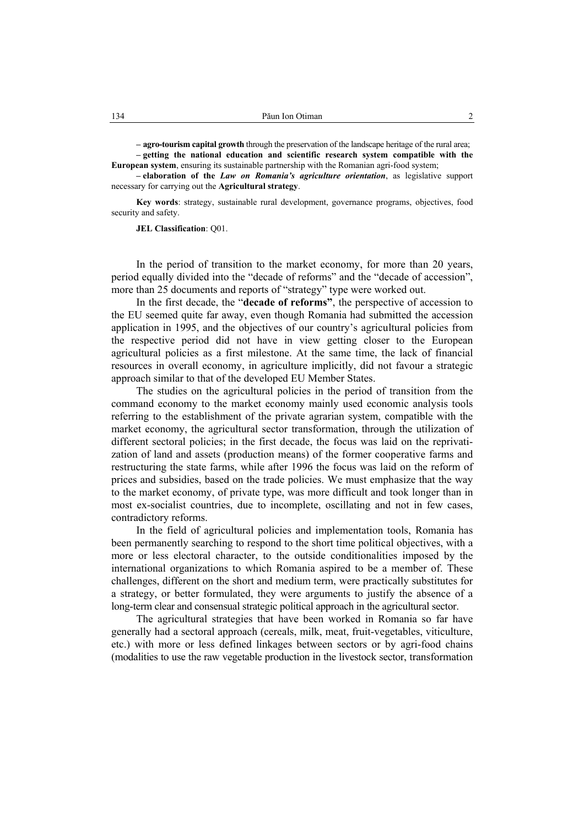**– agro-tourism capital growth** through the preservation of the landscape heritage of the rural area; **– getting the national education and scientific research system compatible with the European system**, ensuring its sustainable partnership with the Romanian agri-food system;

**– elaboration of the** *Law on Romania's agriculture orientation*, as legislative support necessary for carrying out the **Agricultural strategy**.

**Key words**: strategy, sustainable rural development, governance programs, objectives, food security and safety.

**JEL Classification**: Q01.

In the period of transition to the market economy, for more than 20 years, period equally divided into the "decade of reforms" and the "decade of accession", more than 25 documents and reports of "strategy" type were worked out.

In the first decade, the "**decade of reforms"**, the perspective of accession to the EU seemed quite far away, even though Romania had submitted the accession application in 1995, and the objectives of our country's agricultural policies from the respective period did not have in view getting closer to the European agricultural policies as a first milestone. At the same time, the lack of financial resources in overall economy, in agriculture implicitly, did not favour a strategic approach similar to that of the developed EU Member States.

The studies on the agricultural policies in the period of transition from the command economy to the market economy mainly used economic analysis tools referring to the establishment of the private agrarian system, compatible with the market economy, the agricultural sector transformation, through the utilization of different sectoral policies; in the first decade, the focus was laid on the reprivatization of land and assets (production means) of the former cooperative farms and restructuring the state farms, while after 1996 the focus was laid on the reform of prices and subsidies, based on the trade policies. We must emphasize that the way to the market economy, of private type, was more difficult and took longer than in most ex-socialist countries, due to incomplete, oscillating and not in few cases, contradictory reforms.

In the field of agricultural policies and implementation tools, Romania has been permanently searching to respond to the short time political objectives, with a more or less electoral character, to the outside conditionalities imposed by the international organizations to which Romania aspired to be a member of. These challenges, different on the short and medium term, were practically substitutes for a strategy, or better formulated, they were arguments to justify the absence of a long-term clear and consensual strategic political approach in the agricultural sector.

The agricultural strategies that have been worked in Romania so far have generally had a sectoral approach (cereals, milk, meat, fruit-vegetables, viticulture, etc.) with more or less defined linkages between sectors or by agri-food chains (modalities to use the raw vegetable production in the livestock sector, transformation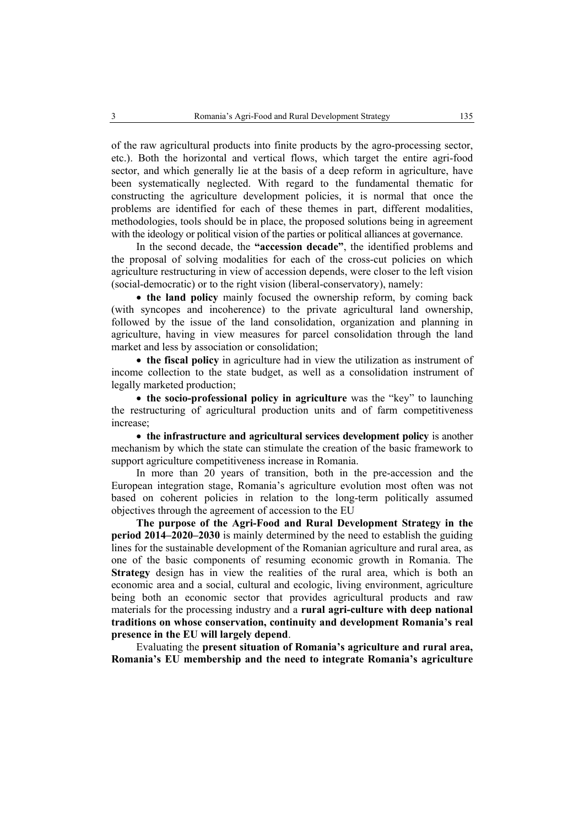of the raw agricultural products into finite products by the agro-processing sector, etc.). Both the horizontal and vertical flows, which target the entire agri-food sector, and which generally lie at the basis of a deep reform in agriculture, have been systematically neglected. With regard to the fundamental thematic for constructing the agriculture development policies, it is normal that once the problems are identified for each of these themes in part, different modalities, methodologies, tools should be in place, the proposed solutions being in agreement with the ideology or political vision of the parties or political alliances at governance.

In the second decade, the **"accession decade"**, the identified problems and the proposal of solving modalities for each of the cross-cut policies on which agriculture restructuring in view of accession depends, were closer to the left vision (social-democratic) or to the right vision (liberal-conservatory), namely:

• **the land policy** mainly focused the ownership reform, by coming back (with syncopes and incoherence) to the private agricultural land ownership, followed by the issue of the land consolidation, organization and planning in agriculture, having in view measures for parcel consolidation through the land market and less by association or consolidation;

• **the fiscal policy** in agriculture had in view the utilization as instrument of income collection to the state budget, as well as a consolidation instrument of legally marketed production;

• **the socio-professional policy in agriculture** was the "key" to launching the restructuring of agricultural production units and of farm competitiveness increase;

• **the infrastructure and agricultural services development policy** is another mechanism by which the state can stimulate the creation of the basic framework to support agriculture competitiveness increase in Romania.

In more than 20 years of transition, both in the pre-accession and the European integration stage, Romania's agriculture evolution most often was not based on coherent policies in relation to the long-term politically assumed objectives through the agreement of accession to the EU

**The purpose of the Agri-Food and Rural Development Strategy in the period 2014–2020–2030** is mainly determined by the need to establish the guiding lines for the sustainable development of the Romanian agriculture and rural area, as one of the basic components of resuming economic growth in Romania. The **Strategy** design has in view the realities of the rural area, which is both an economic area and a social, cultural and ecologic, living environment, agriculture being both an economic sector that provides agricultural products and raw materials for the processing industry and a **rural agri-culture with deep national traditions on whose conservation, continuity and development Romania's real presence in the EU will largely depend**.

Evaluating the **present situation of Romania's agriculture and rural area, Romania's EU membership and the need to integrate Romania's agriculture**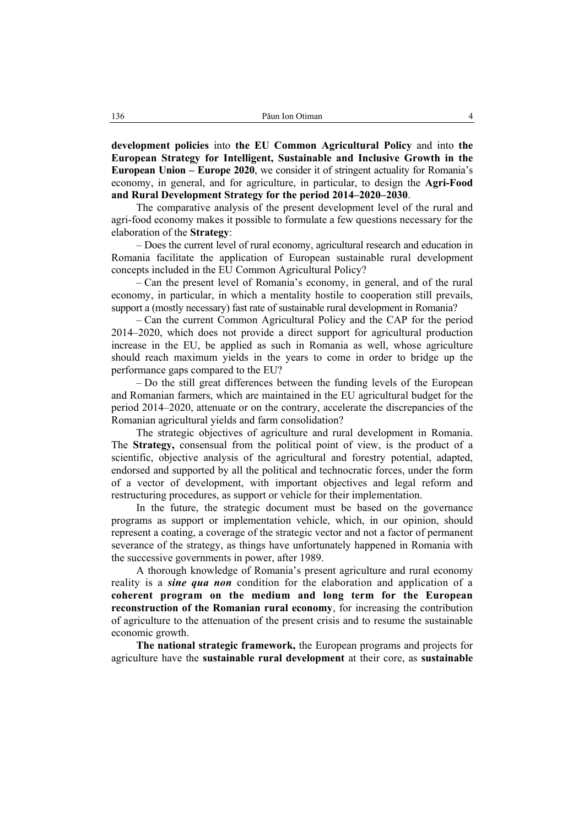**development policies** into **the EU Common Agricultural Policy** and into **the European Strategy for Intelligent, Sustainable and Inclusive Growth in the European Union – Europe 2020**, we consider it of stringent actuality for Romania's economy, in general, and for agriculture, in particular, to design the **Agri-Food and Rural Development Strategy for the period 2014–2020–2030**.

The comparative analysis of the present development level of the rural and agri-food economy makes it possible to formulate a few questions necessary for the elaboration of the **Strategy**:

– Does the current level of rural economy, agricultural research and education in Romania facilitate the application of European sustainable rural development concepts included in the EU Common Agricultural Policy?

– Can the present level of Romania's economy, in general, and of the rural economy, in particular, in which a mentality hostile to cooperation still prevails, support a (mostly necessary) fast rate of sustainable rural development in Romania?

– Can the current Common Agricultural Policy and the CAP for the period 2014–2020, which does not provide a direct support for agricultural production increase in the EU, be applied as such in Romania as well, whose agriculture should reach maximum yields in the years to come in order to bridge up the performance gaps compared to the EU?

– Do the still great differences between the funding levels of the European and Romanian farmers, which are maintained in the EU agricultural budget for the period 2014–2020, attenuate or on the contrary, accelerate the discrepancies of the Romanian agricultural yields and farm consolidation?

The strategic objectives of agriculture and rural development in Romania. The **Strategy,** consensual from the political point of view, is the product of a scientific, objective analysis of the agricultural and forestry potential, adapted, endorsed and supported by all the political and technocratic forces, under the form of a vector of development, with important objectives and legal reform and restructuring procedures, as support or vehicle for their implementation.

In the future, the strategic document must be based on the governance programs as support or implementation vehicle, which, in our opinion, should represent a coating, a coverage of the strategic vector and not a factor of permanent severance of the strategy, as things have unfortunately happened in Romania with the successive governments in power, after 1989.

A thorough knowledge of Romania's present agriculture and rural economy reality is a *sine qua non* condition for the elaboration and application of a **coherent program on the medium and long term for the European reconstruction of the Romanian rural economy**, for increasing the contribution of agriculture to the attenuation of the present crisis and to resume the sustainable economic growth.

**The national strategic framework,** the European programs and projects for agriculture have the **sustainable rural development** at their core, as **sustainable**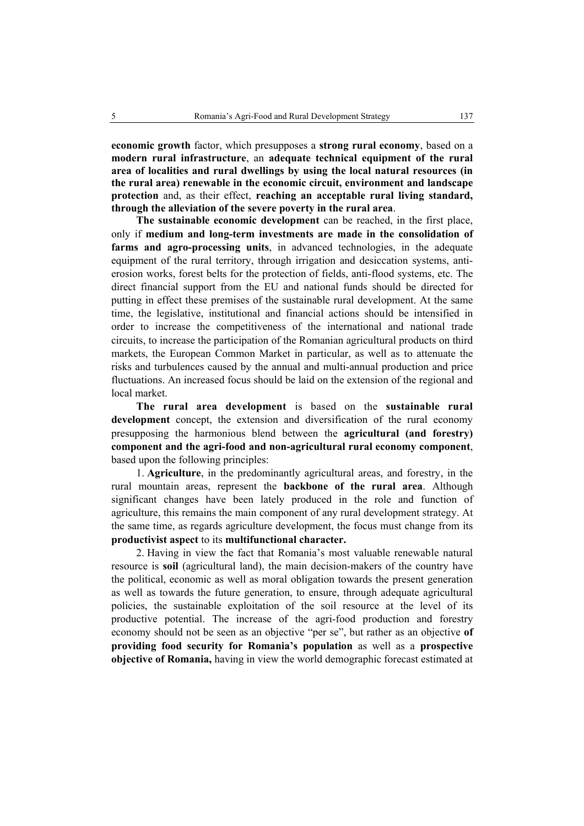**economic growth** factor, which presupposes a **strong rural economy**, based on a **modern rural infrastructure**, an **adequate technical equipment of the rural area of localities and rural dwellings by using the local natural resources (in the rural area) renewable in the economic circuit, environment and landscape protection** and, as their effect, **reaching an acceptable rural living standard, through the alleviation of the severe poverty in the rural area**.

**The sustainable economic development** can be reached, in the first place, only if **medium and long-term investments are made in the consolidation of farms and agro-processing units**, in advanced technologies, in the adequate equipment of the rural territory, through irrigation and desiccation systems, antierosion works, forest belts for the protection of fields, anti-flood systems, etc. The direct financial support from the EU and national funds should be directed for putting in effect these premises of the sustainable rural development. At the same time, the legislative, institutional and financial actions should be intensified in order to increase the competitiveness of the international and national trade circuits, to increase the participation of the Romanian agricultural products on third markets, the European Common Market in particular, as well as to attenuate the risks and turbulences caused by the annual and multi-annual production and price fluctuations. An increased focus should be laid on the extension of the regional and local market.

**The rural area development** is based on the **sustainable rural development** concept, the extension and diversification of the rural economy presupposing the harmonious blend between the **agricultural (and forestry) component and the agri-food and non-agricultural rural economy component**, based upon the following principles:

1. **Agriculture**, in the predominantly agricultural areas, and forestry, in the rural mountain areas, represent the **backbone of the rural area**. Although significant changes have been lately produced in the role and function of agriculture, this remains the main component of any rural development strategy. At the same time, as regards agriculture development, the focus must change from its **productivist aspect** to its **multifunctional character.**

2. Having in view the fact that Romania's most valuable renewable natural resource is **soil** (agricultural land), the main decision-makers of the country have the political, economic as well as moral obligation towards the present generation as well as towards the future generation, to ensure, through adequate agricultural policies, the sustainable exploitation of the soil resource at the level of its productive potential. The increase of the agri-food production and forestry economy should not be seen as an objective "per se", but rather as an objective **of providing food security for Romania's population** as well as a **prospective objective of Romania,** having in view the world demographic forecast estimated at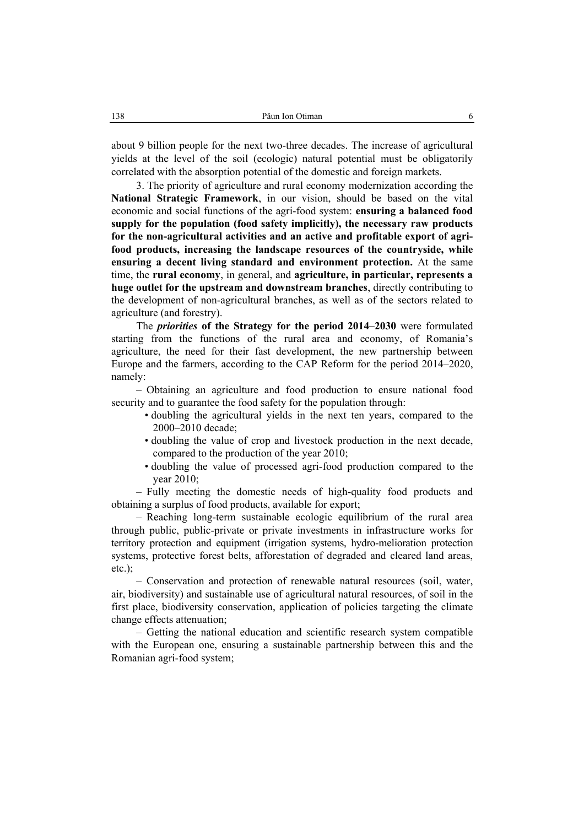about 9 billion people for the next two-three decades. The increase of agricultural yields at the level of the soil (ecologic) natural potential must be obligatorily correlated with the absorption potential of the domestic and foreign markets.

3. The priority of agriculture and rural economy modernization according the **National Strategic Framework**, in our vision, should be based on the vital economic and social functions of the agri-food system: **ensuring a balanced food supply for the population (food safety implicitly), the necessary raw products for the non-agricultural activities and an active and profitable export of agrifood products, increasing the landscape resources of the countryside, while ensuring a decent living standard and environment protection.** At the same time, the **rural economy**, in general, and **agriculture, in particular, represents a huge outlet for the upstream and downstream branches**, directly contributing to the development of non-agricultural branches, as well as of the sectors related to agriculture (and forestry).

The *priorities* **of the Strategy for the period 2014–2030** were formulated starting from the functions of the rural area and economy, of Romania's agriculture, the need for their fast development, the new partnership between Europe and the farmers, according to the CAP Reform for the period 2014–2020, namely:

– Obtaining an agriculture and food production to ensure national food security and to guarantee the food safety for the population through:

- doubling the agricultural yields in the next ten years, compared to the 2000–2010 decade;
- doubling the value of crop and livestock production in the next decade, compared to the production of the year 2010;
- doubling the value of processed agri-food production compared to the year 2010;

– Fully meeting the domestic needs of high-quality food products and obtaining a surplus of food products, available for export;

– Reaching long-term sustainable ecologic equilibrium of the rural area through public, public-private or private investments in infrastructure works for territory protection and equipment (irrigation systems, hydro-melioration protection systems, protective forest belts, afforestation of degraded and cleared land areas,  $etc.$ );

– Conservation and protection of renewable natural resources (soil, water, air, biodiversity) and sustainable use of agricultural natural resources, of soil in the first place, biodiversity conservation, application of policies targeting the climate change effects attenuation;

– Getting the national education and scientific research system compatible with the European one, ensuring a sustainable partnership between this and the Romanian agri-food system;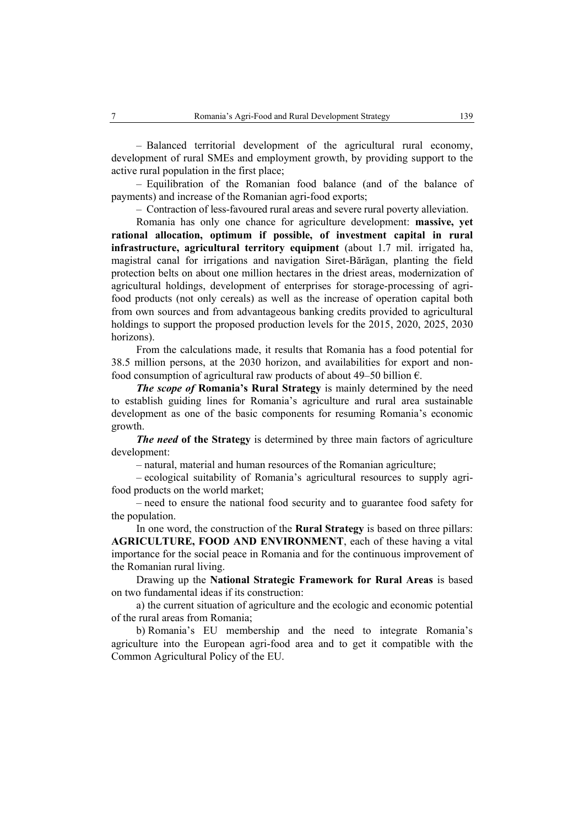– Balanced territorial development of the agricultural rural economy, development of rural SMEs and employment growth, by providing support to the active rural population in the first place;

– Equilibration of the Romanian food balance (and of the balance of payments) and increase of the Romanian agri-food exports;

– Contraction of less-favoured rural areas and severe rural poverty alleviation.

Romania has only one chance for agriculture development: **massive, yet rational allocation, optimum if possible, of investment capital in rural infrastructure, agricultural territory equipment** (about 1.7 mil. irrigated ha, magistral canal for irrigations and navigation Siret-Bărăgan, planting the field protection belts on about one million hectares in the driest areas, modernization of agricultural holdings, development of enterprises for storage-processing of agrifood products (not only cereals) as well as the increase of operation capital both from own sources and from advantageous banking credits provided to agricultural holdings to support the proposed production levels for the 2015, 2020, 2025, 2030 horizons).

From the calculations made, it results that Romania has a food potential for 38.5 million persons, at the 2030 horizon, and availabilities for export and nonfood consumption of agricultural raw products of about 49–50 billion  $\epsilon$ .

*The scope of* **Romania's Rural Strategy** is mainly determined by the need to establish guiding lines for Romania's agriculture and rural area sustainable development as one of the basic components for resuming Romania's economic growth.

*The need* of the Strategy is determined by three main factors of agriculture development:

– natural, material and human resources of the Romanian agriculture;

– ecological suitability of Romania's agricultural resources to supply agrifood products on the world market;

– need to ensure the national food security and to guarantee food safety for the population.

In one word, the construction of the **Rural Strategy** is based on three pillars: **AGRICULTURE, FOOD AND ENVIRONMENT**, each of these having a vital importance for the social peace in Romania and for the continuous improvement of the Romanian rural living.

Drawing up the **National Strategic Framework for Rural Areas** is based on two fundamental ideas if its construction:

a) the current situation of agriculture and the ecologic and economic potential of the rural areas from Romania;

b) Romania's EU membership and the need to integrate Romania's agriculture into the European agri-food area and to get it compatible with the Common Agricultural Policy of the EU.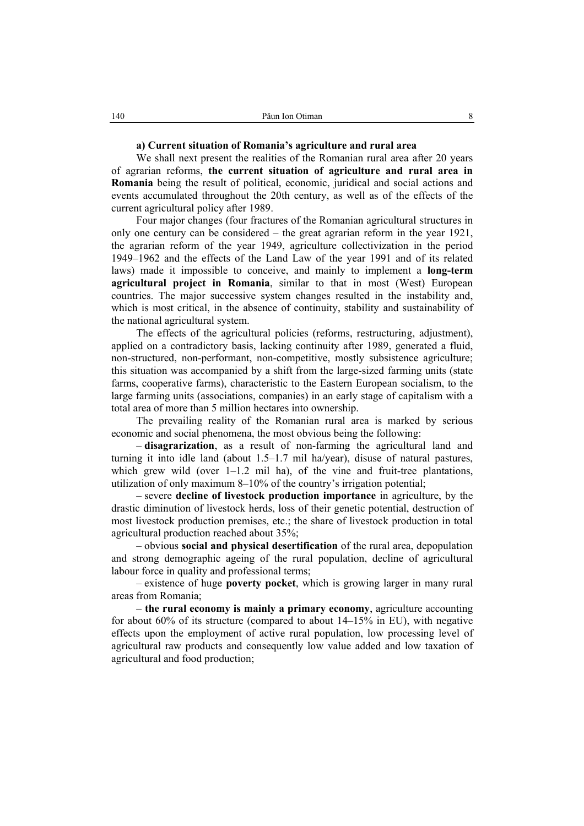## **a) Current situation of Romania's agriculture and rural area**

We shall next present the realities of the Romanian rural area after 20 years of agrarian reforms, **the current situation of agriculture and rural area in Romania** being the result of political, economic, juridical and social actions and events accumulated throughout the 20th century, as well as of the effects of the current agricultural policy after 1989.

Four major changes (four fractures of the Romanian agricultural structures in only one century can be considered – the great agrarian reform in the year 1921, the agrarian reform of the year 1949, agriculture collectivization in the period 1949–1962 and the effects of the Land Law of the year 1991 and of its related laws) made it impossible to conceive, and mainly to implement a **long-term agricultural project in Romania**, similar to that in most (West) European countries. The major successive system changes resulted in the instability and, which is most critical, in the absence of continuity, stability and sustainability of the national agricultural system.

The effects of the agricultural policies (reforms, restructuring, adjustment), applied on a contradictory basis, lacking continuity after 1989, generated a fluid, non-structured, non-performant, non-competitive, mostly subsistence agriculture; this situation was accompanied by a shift from the large-sized farming units (state farms, cooperative farms), characteristic to the Eastern European socialism, to the large farming units (associations, companies) in an early stage of capitalism with a total area of more than 5 million hectares into ownership.

The prevailing reality of the Romanian rural area is marked by serious economic and social phenomena, the most obvious being the following:

– **disagrarization**, as a result of non-farming the agricultural land and turning it into idle land (about 1.5–1.7 mil ha/year), disuse of natural pastures, which grew wild (over  $1-1.2$  mil ha), of the vine and fruit-tree plantations, utilization of only maximum 8–10% of the country's irrigation potential;

– severe **decline of livestock production importance** in agriculture, by the drastic diminution of livestock herds, loss of their genetic potential, destruction of most livestock production premises, etc.; the share of livestock production in total agricultural production reached about 35%;

– obvious **social and physical desertification** of the rural area, depopulation and strong demographic ageing of the rural population, decline of agricultural labour force in quality and professional terms;

– existence of huge **poverty pocket**, which is growing larger in many rural areas from Romania;

– **the rural economy is mainly a primary economy**, agriculture accounting for about  $60\%$  of its structure (compared to about  $14-15\%$  in EU), with negative effects upon the employment of active rural population, low processing level of agricultural raw products and consequently low value added and low taxation of agricultural and food production;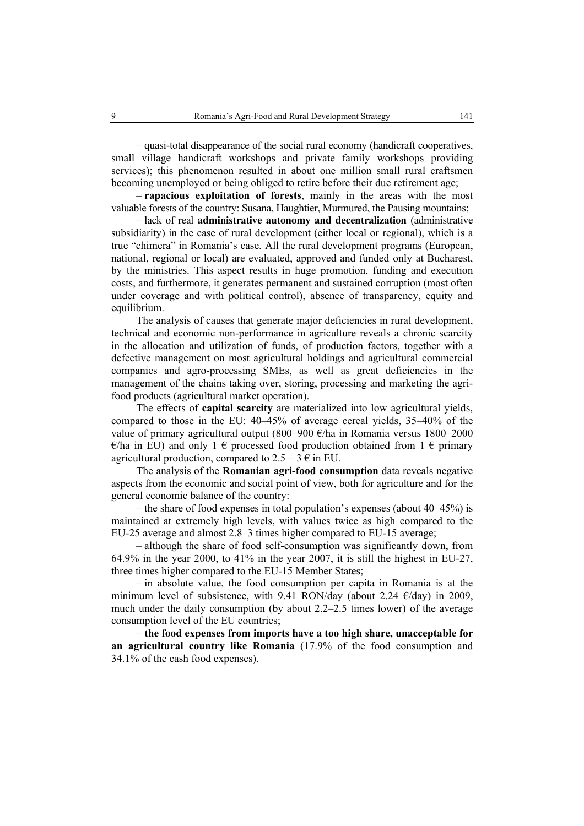– quasi-total disappearance of the social rural economy (handicraft cooperatives, small village handicraft workshops and private family workshops providing services); this phenomenon resulted in about one million small rural craftsmen becoming unemployed or being obliged to retire before their due retirement age;

– **rapacious exploitation of forests**, mainly in the areas with the most valuable forests of the country: Susana, Haughtier, Murmured, the Pausing mountains;

– lack of real **administrative autonomy and decentralization** (administrative subsidiarity) in the case of rural development (either local or regional), which is a true "chimera" in Romania's case. All the rural development programs (European, national, regional or local) are evaluated, approved and funded only at Bucharest, by the ministries. This aspect results in huge promotion, funding and execution costs, and furthermore, it generates permanent and sustained corruption (most often under coverage and with political control), absence of transparency, equity and equilibrium.

The analysis of causes that generate major deficiencies in rural development, technical and economic non-performance in agriculture reveals a chronic scarcity in the allocation and utilization of funds, of production factors, together with a defective management on most agricultural holdings and agricultural commercial companies and agro-processing SMEs, as well as great deficiencies in the management of the chains taking over, storing, processing and marketing the agrifood products (agricultural market operation).

The effects of **capital scarcity** are materialized into low agricultural yields, compared to those in the EU: 40–45% of average cereal yields, 35–40% of the value of primary agricultural output (800–900 €/ha in Romania versus 1800–2000  $\epsilon$ /ha in EU) and only 1  $\epsilon$  processed food production obtained from 1  $\epsilon$  primary agricultural production, compared to  $2.5 - 3 \in \text{in EU}$ .

The analysis of the **Romanian agri-food consumption** data reveals negative aspects from the economic and social point of view, both for agriculture and for the general economic balance of the country:

– the share of food expenses in total population's expenses (about 40–45%) is maintained at extremely high levels, with values twice as high compared to the EU-25 average and almost 2.8–3 times higher compared to EU-15 average;

– although the share of food self-consumption was significantly down, from  $64.9\%$  in the year 2000, to 41% in the year 2007, it is still the highest in EU-27, three times higher compared to the EU-15 Member States;

– in absolute value, the food consumption per capita in Romania is at the minimum level of subsistence, with 9.41 RON/day (about 2.24  $\epsilon$ /day) in 2009, much under the daily consumption (by about 2.2–2.5 times lower) of the average consumption level of the EU countries;

– **the food expenses from imports have a too high share, unacceptable for an agricultural country like Romania** (17.9% of the food consumption and 34.1% of the cash food expenses).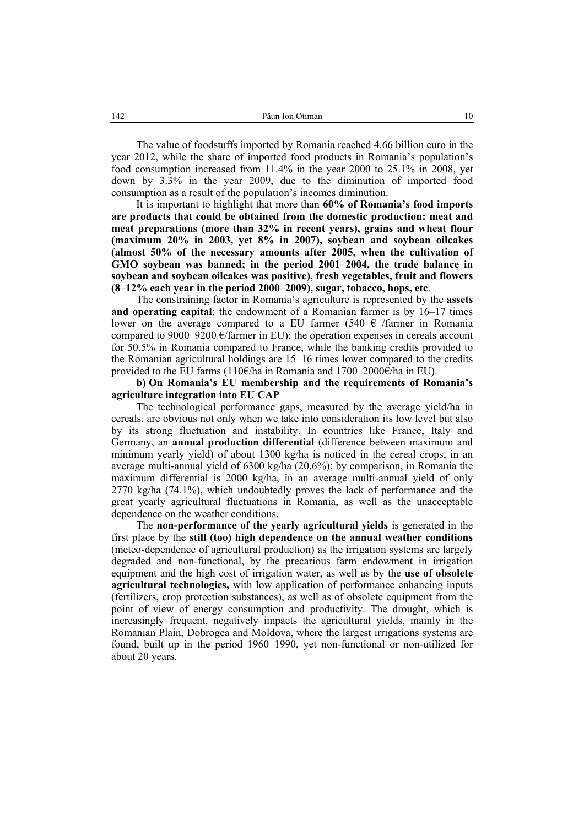The value of foodstuffs imported by Romania reached 4.66 billion euro in the year 2012, while the share of imported food products in Romania's population's food consumption increased from 11.4% in the year 2000 to 25.1% in 2008, yet down by 3.3% in the year 2009, due to the diminution of imported food consumption as a result of the population's incomes diminution.

It is important to highlight that more than **60% of Romania's food imports are products that could be obtained from the domestic production: meat and meat preparations (more than 32% in recent years), grains and wheat flour (maximum 20% in 2003, yet 8% in 2007), soybean and soybean oilcakes (almost 50% of the necessary amounts after 2005, when the cultivation of GMO soybean was banned; in the period 2001–2004, the trade balance in soybean and soybean oilcakes was positive), fresh vegetables, fruit and flowers (8–12% each year in the period 2000–2009), sugar, tobacco, hops, etc**.

The constraining factor in Romania's agriculture is represented by the **assets and operating capital**: the endowment of a Romanian farmer is by 16–17 times lower on the average compared to a EU farmer (540  $\epsilon$  /farmer in Romania compared to  $9000-9200$  €/farmer in EU); the operation expenses in cereals account for 50.5% in Romania compared to France, while the banking credits provided to the Romanian agricultural holdings are 15–16 times lower compared to the credits provided to the EU farms (110€/ha in Romania and 1700–2000€/ha in EU).

## **b) On Romania's EU membership and the requirements of Romania's agriculture integration into EU CAP**

The technological performance gaps, measured by the average yield/ha in cereals, are obvious not only when we take into consideration its low level but also by its strong fluctuation and instability. In countries like France, Italy and Germany, an **annual production differential** (difference between maximum and minimum yearly yield) of about 1300 kg/ha is noticed in the cereal crops, in an average multi-annual yield of 6300 kg/ha (20.6%); by comparison, in Romania the maximum differential is 2000 kg/ha, in an average multi-annual yield of only 2770 kg/ha (74.1%), which undoubtedly proves the lack of performance and the great yearly agricultural fluctuations in Romania, as well as the unacceptable dependence on the weather conditions.

The **non-performance of the yearly agricultural yields** is generated in the first place by the **still (too) high dependence on the annual weather conditions**  (meteo-dependence of agricultural production) as the irrigation systems are largely degraded and non-functional, by the precarious farm endowment in irrigation equipment and the high cost of irrigation water, as well as by the **use of obsolete agricultural technologies,** with low application of performance enhancing inputs (fertilizers, crop protection substances), as well as of obsolete equipment from the point of view of energy consumption and productivity. The drought, which is increasingly frequent, negatively impacts the agricultural yields, mainly in the Romanian Plain, Dobrogea and Moldova, where the largest irrigations systems are found, built up in the period 1960–1990, yet non-functional or non-utilized for about 20 years.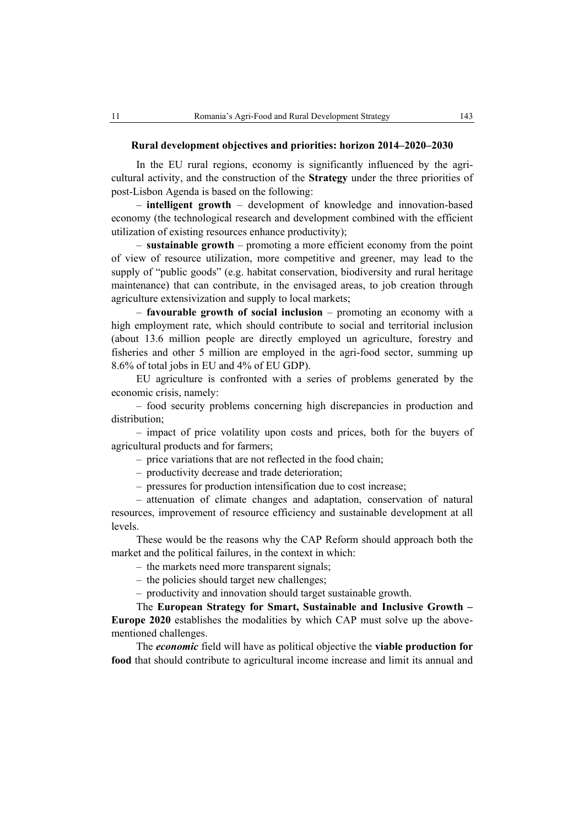In the EU rural regions, economy is significantly influenced by the agricultural activity, and the construction of the **Strategy** under the three priorities of post-Lisbon Agenda is based on the following:

– **intelligent growth** – development of knowledge and innovation-based economy (the technological research and development combined with the efficient utilization of existing resources enhance productivity);

– **sustainable growth** – promoting a more efficient economy from the point of view of resource utilization, more competitive and greener, may lead to the supply of "public goods" (e.g. habitat conservation, biodiversity and rural heritage maintenance) that can contribute, in the envisaged areas, to job creation through agriculture extensivization and supply to local markets;

– **favourable growth of social inclusion** – promoting an economy with a high employment rate, which should contribute to social and territorial inclusion (about 13.6 million people are directly employed un agriculture, forestry and fisheries and other 5 million are employed in the agri-food sector, summing up 8.6% of total jobs in EU and 4% of EU GDP).

EU agriculture is confronted with a series of problems generated by the economic crisis, namely:

– food security problems concerning high discrepancies in production and distribution;

– impact of price volatility upon costs and prices, both for the buyers of agricultural products and for farmers;

– price variations that are not reflected in the food chain;

– productivity decrease and trade deterioration;

– pressures for production intensification due to cost increase;

– attenuation of climate changes and adaptation, conservation of natural resources, improvement of resource efficiency and sustainable development at all levels.

These would be the reasons why the CAP Reform should approach both the market and the political failures, in the context in which:

– the markets need more transparent signals;

– the policies should target new challenges;

– productivity and innovation should target sustainable growth.

The **European Strategy for Smart, Sustainable and Inclusive Growth – Europe 2020** establishes the modalities by which CAP must solve up the abovementioned challenges.

The *economic* field will have as political objective the **viable production for food** that should contribute to agricultural income increase and limit its annual and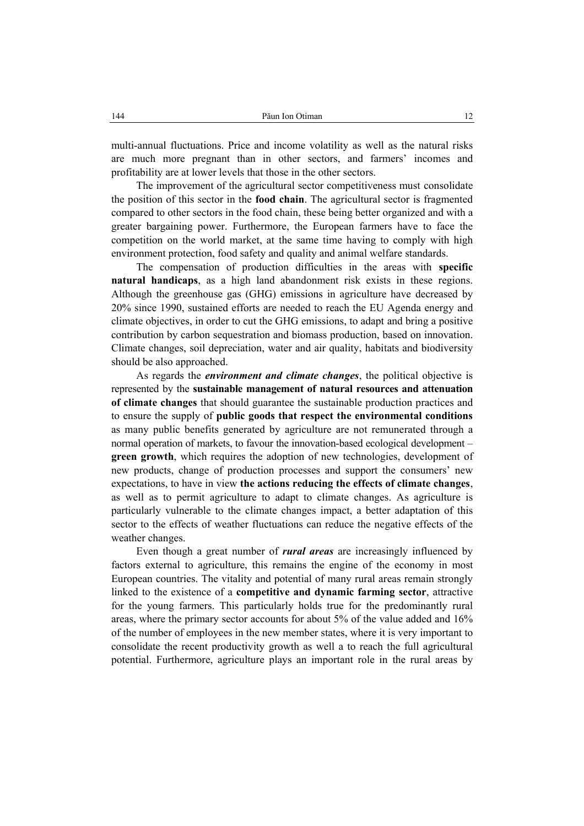multi-annual fluctuations. Price and income volatility as well as the natural risks are much more pregnant than in other sectors, and farmers' incomes and profitability are at lower levels that those in the other sectors.

The improvement of the agricultural sector competitiveness must consolidate the position of this sector in the **food chain**. The agricultural sector is fragmented compared to other sectors in the food chain, these being better organized and with a greater bargaining power. Furthermore, the European farmers have to face the competition on the world market, at the same time having to comply with high environment protection, food safety and quality and animal welfare standards.

The compensation of production difficulties in the areas with **specific natural handicaps**, as a high land abandonment risk exists in these regions. Although the greenhouse gas (GHG) emissions in agriculture have decreased by 20% since 1990, sustained efforts are needed to reach the EU Agenda energy and climate objectives, in order to cut the GHG emissions, to adapt and bring a positive contribution by carbon sequestration and biomass production, based on innovation. Climate changes, soil depreciation, water and air quality, habitats and biodiversity should be also approached.

As regards the *environment and climate changes*, the political objective is represented by the **sustainable management of natural resources and attenuation of climate changes** that should guarantee the sustainable production practices and to ensure the supply of **public goods that respect the environmental conditions** as many public benefits generated by agriculture are not remunerated through a normal operation of markets, to favour the innovation-based ecological development – **green growth**, which requires the adoption of new technologies, development of new products, change of production processes and support the consumers' new expectations, to have in view **the actions reducing the effects of climate changes**, as well as to permit agriculture to adapt to climate changes. As agriculture is particularly vulnerable to the climate changes impact, a better adaptation of this sector to the effects of weather fluctuations can reduce the negative effects of the weather changes.

Even though a great number of *rural areas* are increasingly influenced by factors external to agriculture, this remains the engine of the economy in most European countries. The vitality and potential of many rural areas remain strongly linked to the existence of a **competitive and dynamic farming sector**, attractive for the young farmers. This particularly holds true for the predominantly rural areas, where the primary sector accounts for about 5% of the value added and 16% of the number of employees in the new member states, where it is very important to consolidate the recent productivity growth as well a to reach the full agricultural potential. Furthermore, agriculture plays an important role in the rural areas by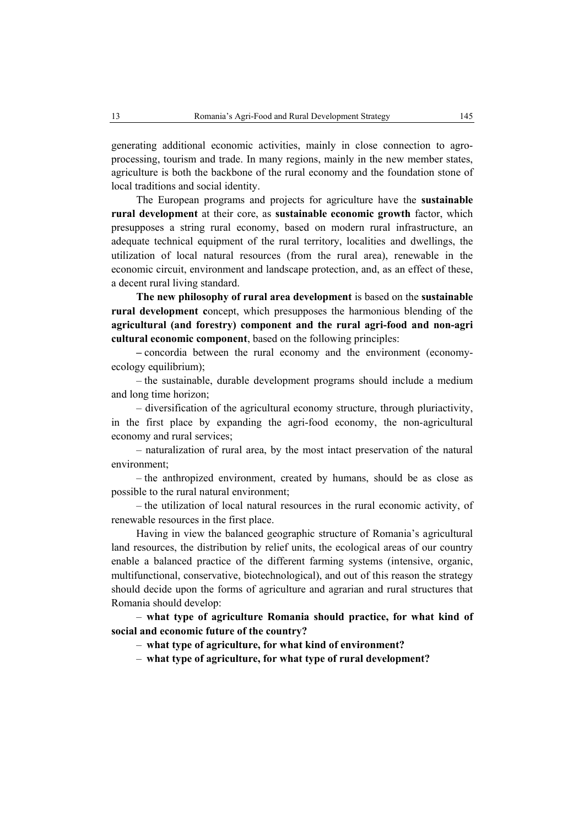generating additional economic activities, mainly in close connection to agroprocessing, tourism and trade. In many regions, mainly in the new member states, agriculture is both the backbone of the rural economy and the foundation stone of local traditions and social identity.

The European programs and projects for agriculture have the **sustainable rural development** at their core, as **sustainable economic growth** factor, which presupposes a string rural economy, based on modern rural infrastructure, an adequate technical equipment of the rural territory, localities and dwellings, the utilization of local natural resources (from the rural area), renewable in the economic circuit, environment and landscape protection, and, as an effect of these, a decent rural living standard.

**The new philosophy of rural area development** is based on the **sustainable rural development c**oncept, which presupposes the harmonious blending of the **agricultural (and forestry) component and the rural agri-food and non-agri cultural economic component**, based on the following principles:

**–** concordia between the rural economy and the environment (economyecology equilibrium);

– the sustainable, durable development programs should include a medium and long time horizon;

– diversification of the agricultural economy structure, through pluriactivity, in the first place by expanding the agri-food economy, the non-agricultural economy and rural services;

– naturalization of rural area, by the most intact preservation of the natural environment;

– the anthropized environment, created by humans, should be as close as possible to the rural natural environment;

– the utilization of local natural resources in the rural economic activity, of renewable resources in the first place.

Having in view the balanced geographic structure of Romania's agricultural land resources, the distribution by relief units, the ecological areas of our country enable a balanced practice of the different farming systems (intensive, organic, multifunctional, conservative, biotechnological), and out of this reason the strategy should decide upon the forms of agriculture and agrarian and rural structures that Romania should develop:

– **what type of agriculture Romania should practice, for what kind of social and economic future of the country?** 

– **what type of agriculture, for what kind of environment?** 

– **what type of agriculture, for what type of rural development?**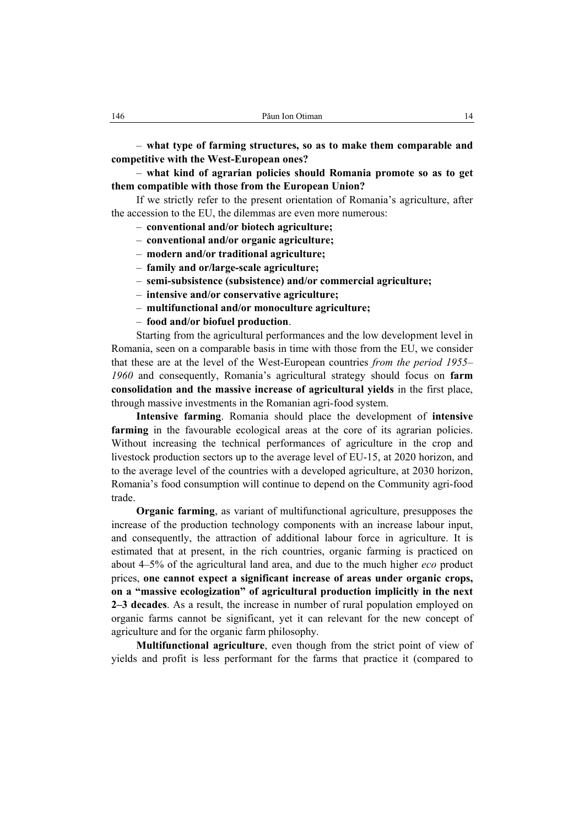– **what type of farming structures, so as to make them comparable and competitive with the West-European ones?** 

– **what kind of agrarian policies should Romania promote so as to get them compatible with those from the European Union?** 

If we strictly refer to the present orientation of Romania's agriculture, after the accession to the EU, the dilemmas are even more numerous:

- **conventional and/or biotech agriculture;**
- **conventional and/or organic agriculture;**
- **modern and/or traditional agriculture;**
- **family and or/large-scale agriculture;**
- **semi-subsistence (subsistence) and/or commercial agriculture;**
- **intensive and/or conservative agriculture;**
- **multifunctional and/or monoculture agriculture;**
- **food and/or biofuel production**.

Starting from the agricultural performances and the low development level in Romania, seen on a comparable basis in time with those from the EU, we consider that these are at the level of the West-European countries *from the period 1955– 1960* and consequently, Romania's agricultural strategy should focus on **farm consolidation and the massive increase of agricultural yields** in the first place, through massive investments in the Romanian agri-food system.

**Intensive farming**. Romania should place the development of **intensive farming** in the favourable ecological areas at the core of its agrarian policies. Without increasing the technical performances of agriculture in the crop and livestock production sectors up to the average level of EU-15, at 2020 horizon, and to the average level of the countries with a developed agriculture, at 2030 horizon, Romania's food consumption will continue to depend on the Community agri-food trade.

**Organic farming**, as variant of multifunctional agriculture, presupposes the increase of the production technology components with an increase labour input, and consequently, the attraction of additional labour force in agriculture. It is estimated that at present, in the rich countries, organic farming is practiced on about 4–5% of the agricultural land area, and due to the much higher *eco* product prices, **one cannot expect a significant increase of areas under organic crops, on a "massive ecologization" of agricultural production implicitly in the next 2–3 decades**. As a result, the increase in number of rural population employed on organic farms cannot be significant, yet it can relevant for the new concept of agriculture and for the organic farm philosophy.

**Multifunctional agriculture**, even though from the strict point of view of yields and profit is less performant for the farms that practice it (compared to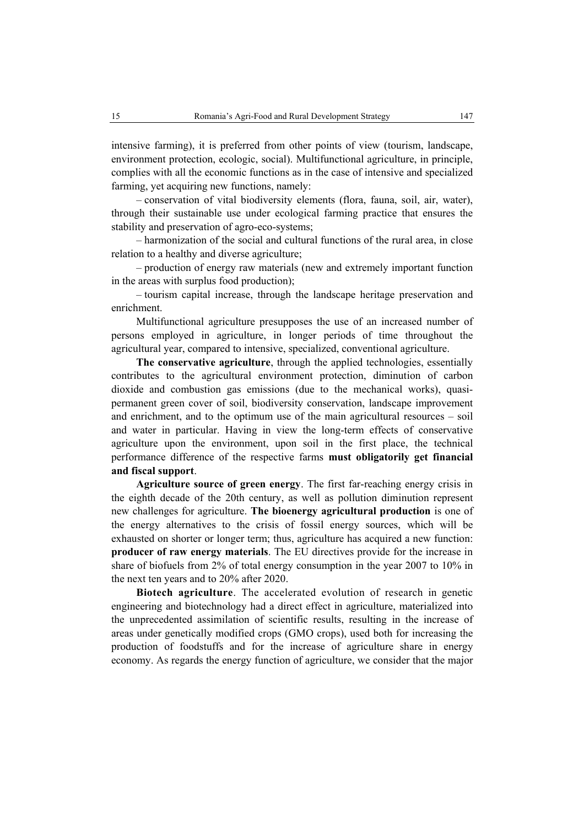intensive farming), it is preferred from other points of view (tourism, landscape, environment protection, ecologic, social). Multifunctional agriculture, in principle, complies with all the economic functions as in the case of intensive and specialized farming, yet acquiring new functions, namely:

– conservation of vital biodiversity elements (flora, fauna, soil, air, water), through their sustainable use under ecological farming practice that ensures the stability and preservation of agro-eco-systems;

– harmonization of the social and cultural functions of the rural area, in close relation to a healthy and diverse agriculture;

– production of energy raw materials (new and extremely important function in the areas with surplus food production);

– tourism capital increase, through the landscape heritage preservation and enrichment.

Multifunctional agriculture presupposes the use of an increased number of persons employed in agriculture, in longer periods of time throughout the agricultural year, compared to intensive, specialized, conventional agriculture.

**The conservative agriculture**, through the applied technologies, essentially contributes to the agricultural environment protection, diminution of carbon dioxide and combustion gas emissions (due to the mechanical works), quasipermanent green cover of soil, biodiversity conservation, landscape improvement and enrichment, and to the optimum use of the main agricultural resources – soil and water in particular. Having in view the long-term effects of conservative agriculture upon the environment, upon soil in the first place, the technical performance difference of the respective farms **must obligatorily get financial and fiscal support**.

**Agriculture source of green energy**. The first far-reaching energy crisis in the eighth decade of the 20th century, as well as pollution diminution represent new challenges for agriculture. **The bioenergy agricultural production** is one of the energy alternatives to the crisis of fossil energy sources, which will be exhausted on shorter or longer term; thus, agriculture has acquired a new function: **producer of raw energy materials**. The EU directives provide for the increase in share of biofuels from 2% of total energy consumption in the year 2007 to 10% in the next ten years and to 20% after 2020.

**Biotech agriculture**. The accelerated evolution of research in genetic engineering and biotechnology had a direct effect in agriculture, materialized into the unprecedented assimilation of scientific results, resulting in the increase of areas under genetically modified crops (GMO crops), used both for increasing the production of foodstuffs and for the increase of agriculture share in energy economy. As regards the energy function of agriculture, we consider that the major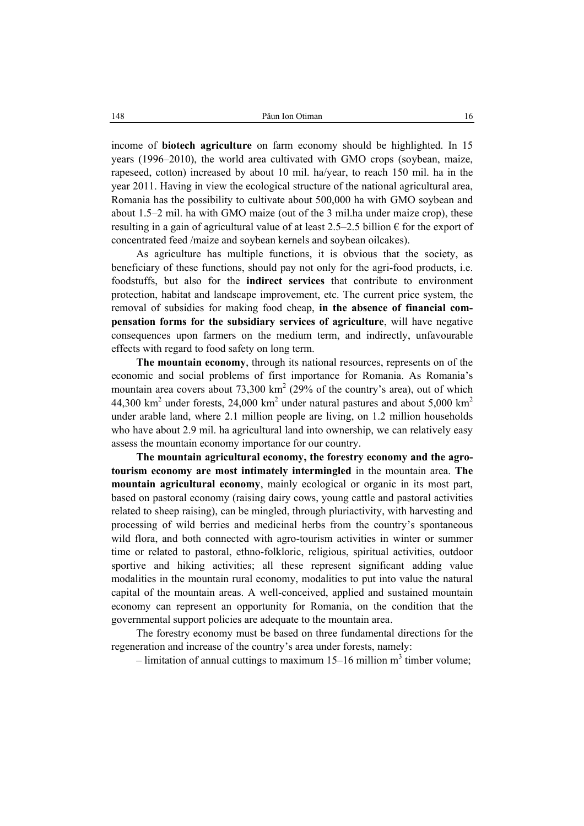income of **biotech agriculture** on farm economy should be highlighted. In 15 years (1996–2010), the world area cultivated with GMO crops (soybean, maize, rapeseed, cotton) increased by about 10 mil. ha/year, to reach 150 mil. ha in the year 2011. Having in view the ecological structure of the national agricultural area, Romania has the possibility to cultivate about 500,000 ha with GMO soybean and about 1.5–2 mil. ha with GMO maize (out of the 3 mil.ha under maize crop), these resulting in a gain of agricultural value of at least 2.5–2.5 billion  $\epsilon$  for the export of concentrated feed /maize and soybean kernels and soybean oilcakes).

As agriculture has multiple functions, it is obvious that the society, as beneficiary of these functions, should pay not only for the agri-food products, i.e. foodstuffs, but also for the **indirect services** that contribute to environment protection, habitat and landscape improvement, etc. The current price system, the removal of subsidies for making food cheap, **in the absence of financial compensation forms for the subsidiary services of agriculture**, will have negative consequences upon farmers on the medium term, and indirectly, unfavourable effects with regard to food safety on long term.

**The mountain economy**, through its national resources, represents on of the economic and social problems of first importance for Romania. As Romania's mountain area covers about  $73,300 \text{ km}^2$  (29% of the country's area), out of which 44,300 km<sup>2</sup> under forests, 24,000 km<sup>2</sup> under natural pastures and about 5,000 km<sup>2</sup> under arable land, where 2.1 million people are living, on 1.2 million households who have about 2.9 mil. ha agricultural land into ownership, we can relatively easy assess the mountain economy importance for our country.

**The mountain agricultural economy, the forestry economy and the agrotourism economy are most intimately intermingled** in the mountain area. **The mountain agricultural economy**, mainly ecological or organic in its most part, based on pastoral economy (raising dairy cows, young cattle and pastoral activities related to sheep raising), can be mingled, through pluriactivity, with harvesting and processing of wild berries and medicinal herbs from the country's spontaneous wild flora, and both connected with agro-tourism activities in winter or summer time or related to pastoral, ethno-folkloric, religious, spiritual activities, outdoor sportive and hiking activities; all these represent significant adding value modalities in the mountain rural economy, modalities to put into value the natural capital of the mountain areas. A well-conceived, applied and sustained mountain economy can represent an opportunity for Romania, on the condition that the governmental support policies are adequate to the mountain area.

The forestry economy must be based on three fundamental directions for the regeneration and increase of the country's area under forests, namely:

- limitation of annual cuttings to maximum  $15-16$  million m<sup>3</sup> timber volume;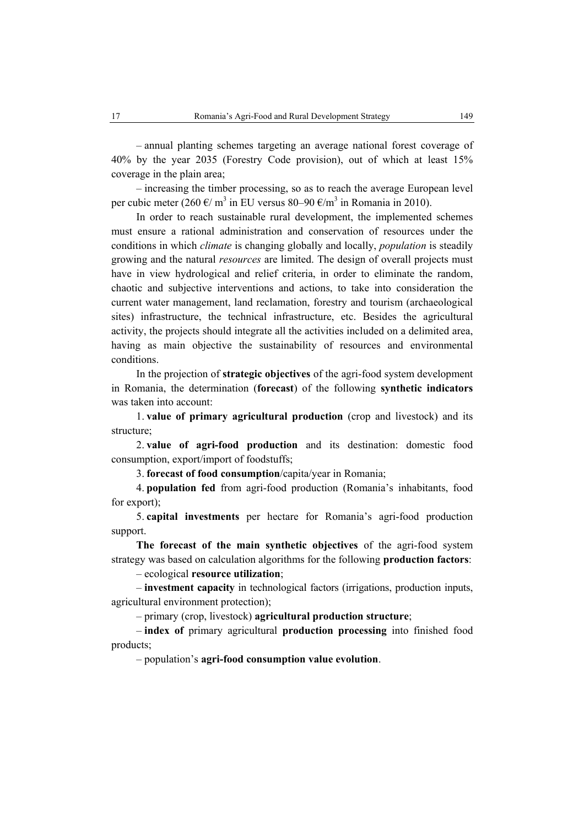– annual planting schemes targeting an average national forest coverage of 40% by the year 2035 (Forestry Code provision), out of which at least 15% coverage in the plain area;

– increasing the timber processing, so as to reach the average European level per cubic meter (260 €/ m<sup>3</sup> in EU versus 80–90 €/m<sup>3</sup> in Romania in 2010).

In order to reach sustainable rural development, the implemented schemes must ensure a rational administration and conservation of resources under the conditions in which *climate* is changing globally and locally, *population* is steadily growing and the natural *resources* are limited. The design of overall projects must have in view hydrological and relief criteria, in order to eliminate the random, chaotic and subjective interventions and actions, to take into consideration the current water management, land reclamation, forestry and tourism (archaeological sites) infrastructure, the technical infrastructure, etc. Besides the agricultural activity, the projects should integrate all the activities included on a delimited area, having as main objective the sustainability of resources and environmental conditions.

In the projection of **strategic objectives** of the agri-food system development in Romania, the determination (**forecast**) of the following **synthetic indicators** was taken into account:

1. **value of primary agricultural production** (crop and livestock) and its structure;

2. **value of agri-food production** and its destination: domestic food consumption, export/import of foodstuffs;

3. **forecast of food consumption**/capita/year in Romania;

4. **population fed** from agri-food production (Romania's inhabitants, food for export);

5. **capital investments** per hectare for Romania's agri-food production support.

**The forecast of the main synthetic objectives** of the agri-food system strategy was based on calculation algorithms for the following **production factors**:

– ecological **resource utilization**;

– **investment capacity** in technological factors (irrigations, production inputs, agricultural environment protection);

– primary (crop, livestock) **agricultural production structure**;

– **index of** primary agricultural **production processing** into finished food products;

– population's **agri-food consumption value evolution**.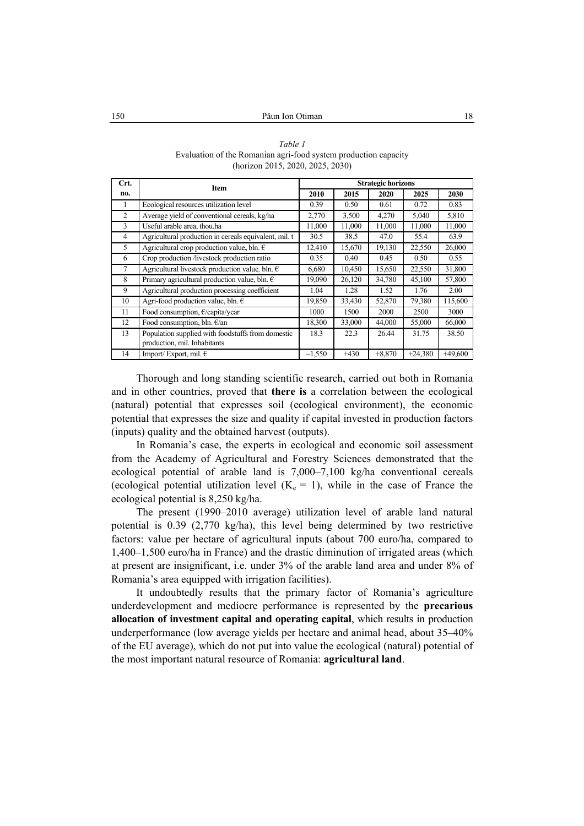*Table 1*  Evaluation of the Romanian agri-food system production capacity (horizon 2015, 2020, 2025, 2030)

| Crt.            | <b>Item</b>                                                                       | <b>Strategic horizons</b> |        |          |           |           |
|-----------------|-----------------------------------------------------------------------------------|---------------------------|--------|----------|-----------|-----------|
| no.             |                                                                                   | 2010                      | 2015   | 2020     | 2025      | 2030      |
|                 | Ecological resources utilization level                                            | 0.39                      | 0.50   | 0.61     | 0.72      | 0.83      |
| $\overline{c}$  | Average yield of conventional cereals, kg/ha                                      | 2,770                     | 3,500  | 4,270    | 5,040     | 5,810     |
| 3               | Useful arable area, thou.ha                                                       | 11,000                    | 11,000 | 11,000   | 11,000    | 11,000    |
| 4               | Agricultural production in cereals equivalent, mil. t                             | 30.5                      | 38.5   | 47.0     | 55.4      | 63.9      |
| 5               | Agricultural crop production value, bln. $\in$                                    | 12,410                    | 15,670 | 19,130   | 22,550    | 26,000    |
| 6               | Crop production /livestock production ratio                                       | 0.35                      | 0.40   | 0.45     | 0.50      | 0.55      |
| $7\phantom{.0}$ | Agricultural livestock production value, bln. $\epsilon$                          | 6,680                     | 10,450 | 15,650   | 22,550    | 31,800    |
| 8               | Primary agricultural production value, bln. $\epsilon$                            | 19,090                    | 26,120 | 34,780   | 45,100    | 57,800    |
| 9               | Agricultural production processing coefficient                                    | 1.04                      | 1.28   | 1.52     | 1.76      | 2.00      |
| 10              | Agri-food production value, bln. $\in$                                            | 19,850                    | 33,430 | 52,870   | 79,380    | 115,600   |
| 11              | Food consumption, €/capita/year                                                   | 1000                      | 1500   | 2000     | 2500      | 3000      |
| 12              | Food consumption, bln. $\epsilon$ /an                                             | 18,300                    | 33,000 | 44,000   | 55,000    | 66,000    |
| 13              | Population supplied with foodstuffs from domestic<br>production, mil. Inhabitants | 18.3                      | 22.3   | 26.44    | 31.75     | 38.50     |
| 14              | Import/Export, mil. $\in$                                                         | $-1,550$                  | $+430$ | $+8,870$ | $+24,380$ | $+49,600$ |

Thorough and long standing scientific research, carried out both in Romania and in other countries, proved that **there is** a correlation between the ecological (natural) potential that expresses soil (ecological environment), the economic potential that expresses the size and quality if capital invested in production factors (inputs) quality and the obtained harvest (outputs).

In Romania's case, the experts in ecological and economic soil assessment from the Academy of Agricultural and Forestry Sciences demonstrated that the ecological potential of arable land is 7,000–7,100 kg/ha conventional cereals (ecological potential utilization level  $(K_e = 1)$ , while in the case of France the ecological potential is 8,250 kg/ha.

The present (1990–2010 average) utilization level of arable land natural potential is 0.39 (2,770 kg/ha), this level being determined by two restrictive factors: value per hectare of agricultural inputs (about 700 euro/ha, compared to 1,400–1,500 euro/ha in France) and the drastic diminution of irrigated areas (which at present are insignificant, i.e. under 3% of the arable land area and under 8% of Romania's area equipped with irrigation facilities).

It undoubtedly results that the primary factor of Romania's agriculture underdevelopment and mediocre performance is represented by the **precarious allocation of investment capital and operating capital**, which results in production underperformance (low average yields per hectare and animal head, about 35–40% of the EU average), which do not put into value the ecological (natural) potential of the most important natural resource of Romania: **agricultural land**.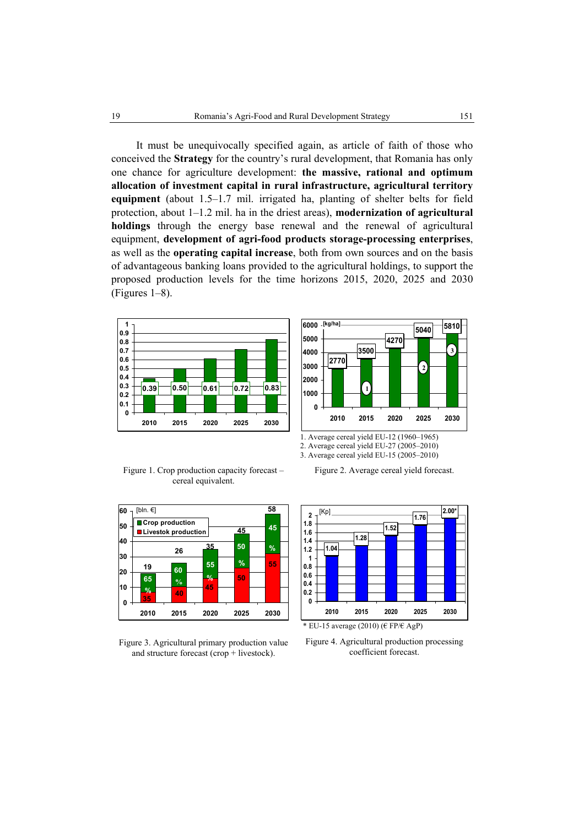It must be unequivocally specified again, as article of faith of those who conceived the **Strategy** for the country's rural development, that Romania has only one chance for agriculture development: **the massive, rational and optimum allocation of investment capital in rural infrastructure, agricultural territory equipment** (about 1.5–1.7 mil. irrigated ha, planting of shelter belts for field protection, about 1–1.2 mil. ha in the driest areas), **modernization of agricultural holdings** through the energy base renewal and the renewal of agricultural equipment, **development of agri-food products storage-processing enterprises**, as well as the **operating capital increase**, both from own sources and on the basis of advantageous banking loans provided to the agricultural holdings, to support the proposed production levels for the time horizons 2015, 2020, 2025 and 2030 (Figures 1–8).





Figure 1. Crop production capacity forecast – cereal equivalent.





Figure 2. Average cereal yield forecast.

2. Average cereal yield EU-27 (2005–2010) 3. Average cereal yield EU-15 (2005–2010)



\* EU-15 average (2010) ( $\in$  FP/ $\in$  AgP)

Figure 4. Agricultural production processing coefficient forecast.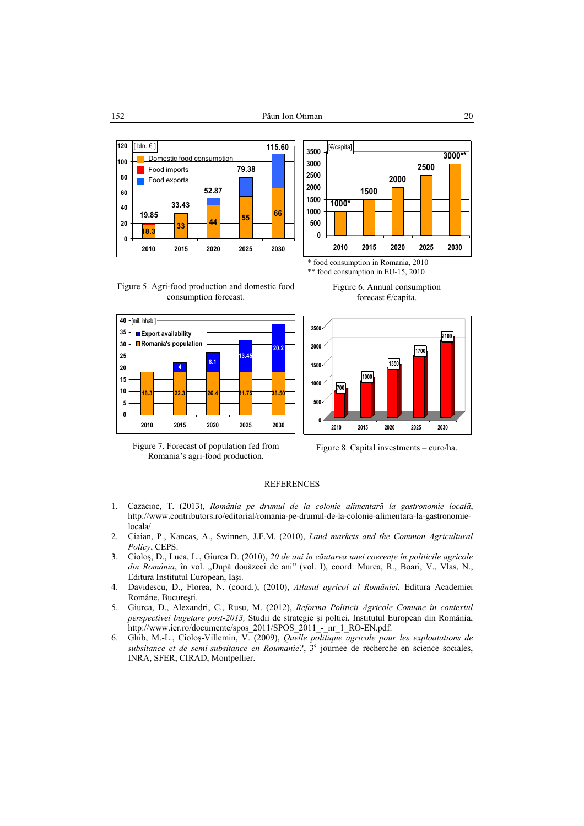



Figure 5. Agri-food production and domestic food consumption forecast.



Figure 7. Forecast of population fed from Romania's agri-food production.







Figure 8. Capital investments – euro/ha.

#### **REFERENCES**

- 1. Cazacioc, T. (2013), *România pe drumul de la colonie alimentară la gastronomie locală*, http://www.contributors.ro/editorial/romania-pe-drumul-de-la-colonie-alimentara-la-gastronomielocala/
- 2. Ciaian, P., Kancas, A., Swinnen, J.F.M. (2010), *Land markets and the Common Agricultural Policy*, CEPS.
- 3. Cioloş, D., Luca, L., Giurca D. (2010), *20 de ani în căutarea unei coerenţe în politicile agricole*  din România, în vol. "După douăzeci de ani" (vol. I), coord: Murea, R., Boari, V., Vlas, N., Editura Institutul European, Iaşi.
- 4. Davidescu, D., Florea, N. (coord.), (2010), *Atlasul agricol al României*, Editura Academiei Române, Bucureşti.
- 5. Giurca, D., Alexandri, C., Rusu, M. (2012), *Reforma Politicii Agricole Comune în contextul perspectivei bugetare post-2013,* Studii de strategie şi poltici, Institutul European din România, http://www.ier.ro/documente/spos\_2011/SPOS\_2011\_-\_nr\_1\_RO-EN.pdf.
- 6. Ghib, M.-L., Cioloş-Villemin, V. (2009), *Quelle politique agricole pour les exploatations de*  subsitance et de semi-subsitance en Roumanie?,  $3^e$  journee de recherche en science sociales, INRA, SFER, CIRAD, Montpellier.